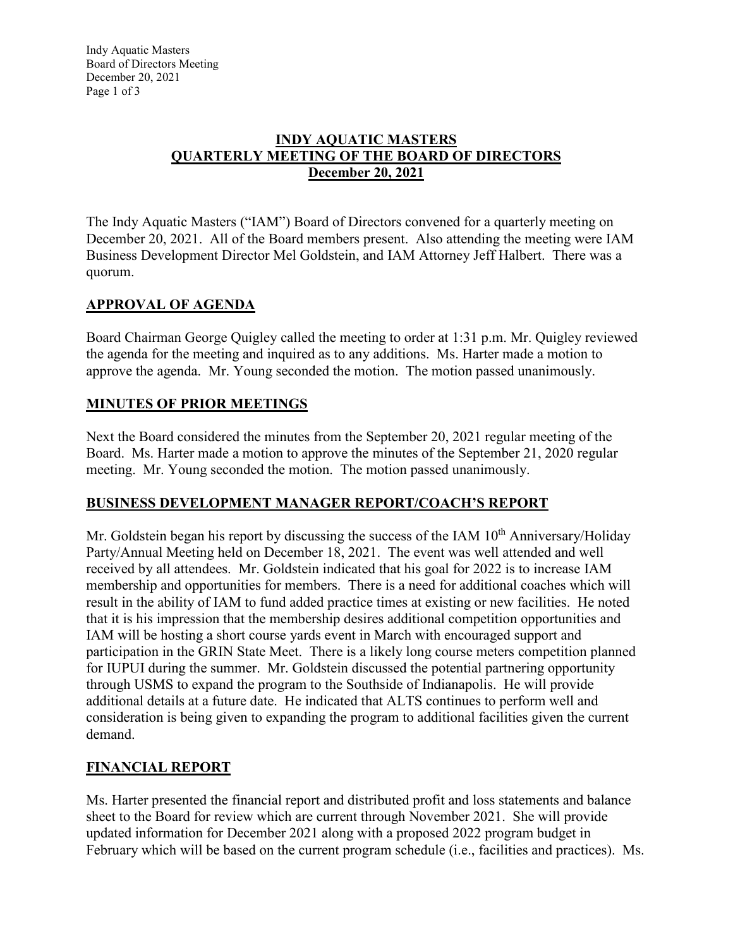### **INDY AQUATIC MASTERS QUARTERLY MEETING OF THE BOARD OF DIRECTORS December 20, 2021**

The Indy Aquatic Masters ("IAM") Board of Directors convened for a quarterly meeting on December 20, 2021. All of the Board members present. Also attending the meeting were IAM Business Development Director Mel Goldstein, and IAM Attorney Jeff Halbert. There was a quorum.

# **APPROVAL OF AGENDA**

Board Chairman George Quigley called the meeting to order at 1:31 p.m. Mr. Quigley reviewed the agenda for the meeting and inquired as to any additions. Ms. Harter made a motion to approve the agenda. Mr. Young seconded the motion. The motion passed unanimously.

### **MINUTES OF PRIOR MEETINGS**

Next the Board considered the minutes from the September 20, 2021 regular meeting of the Board. Ms. Harter made a motion to approve the minutes of the September 21, 2020 regular meeting. Mr. Young seconded the motion. The motion passed unanimously.

### **BUSINESS DEVELOPMENT MANAGER REPORT/COACH'S REPORT**

Mr. Goldstein began his report by discussing the success of the IAM  $10<sup>th</sup>$  Anniversary/Holiday Party/Annual Meeting held on December 18, 2021. The event was well attended and well received by all attendees. Mr. Goldstein indicated that his goal for 2022 is to increase IAM membership and opportunities for members. There is a need for additional coaches which will result in the ability of IAM to fund added practice times at existing or new facilities. He noted that it is his impression that the membership desires additional competition opportunities and IAM will be hosting a short course yards event in March with encouraged support and participation in the GRIN State Meet. There is a likely long course meters competition planned for IUPUI during the summer. Mr. Goldstein discussed the potential partnering opportunity through USMS to expand the program to the Southside of Indianapolis. He will provide additional details at a future date. He indicated that ALTS continues to perform well and consideration is being given to expanding the program to additional facilities given the current demand.

### **FINANCIAL REPORT**

Ms. Harter presented the financial report and distributed profit and loss statements and balance sheet to the Board for review which are current through November 2021. She will provide updated information for December 2021 along with a proposed 2022 program budget in February which will be based on the current program schedule (i.e., facilities and practices). Ms.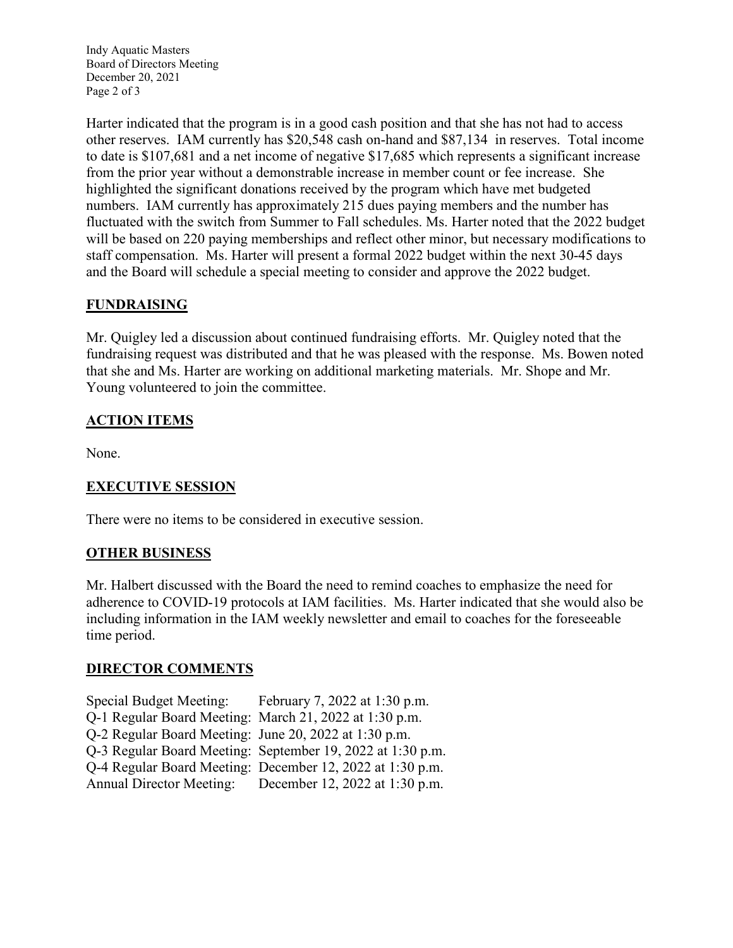Indy Aquatic Masters Board of Directors Meeting December 20, 2021 Page 2 of 3

Harter indicated that the program is in a good cash position and that she has not had to access other reserves. IAM currently has \$20,548 cash on-hand and \$87,134 in reserves. Total income to date is \$107,681 and a net income of negative \$17,685 which represents a significant increase from the prior year without a demonstrable increase in member count or fee increase. She highlighted the significant donations received by the program which have met budgeted numbers. IAM currently has approximately 215 dues paying members and the number has fluctuated with the switch from Summer to Fall schedules. Ms. Harter noted that the 2022 budget will be based on 220 paying memberships and reflect other minor, but necessary modifications to staff compensation. Ms. Harter will present a formal 2022 budget within the next 30-45 days and the Board will schedule a special meeting to consider and approve the 2022 budget.

## **FUNDRAISING**

Mr. Quigley led a discussion about continued fundraising efforts. Mr. Quigley noted that the fundraising request was distributed and that he was pleased with the response. Ms. Bowen noted that she and Ms. Harter are working on additional marketing materials. Mr. Shope and Mr. Young volunteered to join the committee.

### **ACTION ITEMS**

None.

### **EXECUTIVE SESSION**

There were no items to be considered in executive session.

### **OTHER BUSINESS**

Mr. Halbert discussed with the Board the need to remind coaches to emphasize the need for adherence to COVID-19 protocols at IAM facilities. Ms. Harter indicated that she would also be including information in the IAM weekly newsletter and email to coaches for the foreseeable time period.

#### **DIRECTOR COMMENTS**

| <b>Special Budget Meeting:</b>                         | February 7, 2022 at 1:30 p.m.                              |
|--------------------------------------------------------|------------------------------------------------------------|
| Q-1 Regular Board Meeting: March 21, 2022 at 1:30 p.m. |                                                            |
| Q-2 Regular Board Meeting: June 20, 2022 at 1:30 p.m.  |                                                            |
|                                                        | Q-3 Regular Board Meeting: September 19, 2022 at 1:30 p.m. |
|                                                        | Q-4 Regular Board Meeting: December 12, 2022 at 1:30 p.m.  |
| <b>Annual Director Meeting:</b>                        | December 12, 2022 at 1:30 p.m.                             |